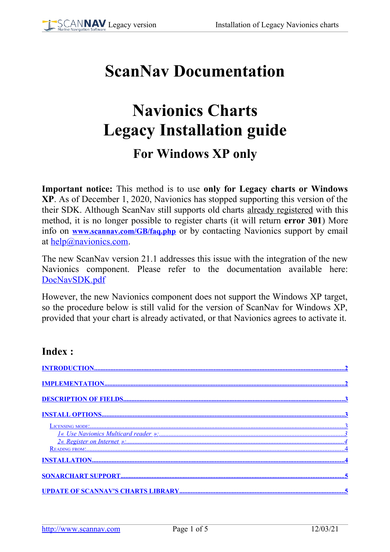# **ScanNav Documentation**

# **Navionics Charts Legacy Installation guide**

# **For Windows XP only**

**Important notice:** This method is to use **only for Legacy charts or Windows XP**. As of December 1, 2020, Navionics has stopped supporting this version of the their SDK. Although ScanNav still supports old charts already registered with this method, it is no longer possible to register charts (it will return **error 301**) More info on **[www.scannav.com/GB/faq.php](http://www.scannav.com/GB/faq.php)** or by contacting Navionics support by email at [help@navionics.com.](mailto:help@navionics.com)

The new ScanNav version 21.1 addresses this issue with the integration of the new Navionics component. Please refer to the documentation available here: <DocNavSDK.pdf>

However, the new Navionics component does not support the Windows XP target, so the procedure below is still valid for the version of ScanNav for Windows XP, provided that your chart is already activated, or that Navionics agrees to activate it.

### **Index :**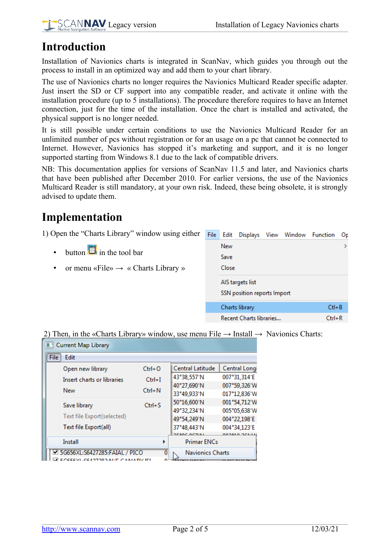

# <span id="page-1-1"></span>**Introduction**

Installation of Navionics charts is integrated in ScanNav, which guides you through out the process to install in an optimized way and add them to your chart library.

The use of Navionics charts no longer requires the Navionics Multicard Reader specific adapter. Just insert the SD or CF support into any compatible reader, and activate it online with the installation procedure (up to 5 installations). The procedure therefore requires to have an Internet connection, just for the time of the installation. Once the chart is installed and activated, the physical support is no longer needed.

It is still possible under certain conditions to use the Navionics Multicard Reader for an unlimited number of pcs without registration or for an usage on a pc that cannot be connected to Internet. However, Navionics has stopped it's marketing and support, and it is no longer supported starting from Windows 8.1 due to the lack of compatible drivers.

NB: This documentation applies for versions of ScanNav 11.5 and later, and Navionics charts that have been published after December 2010. For earlier versions, the use of the Navionics Multicard Reader is still mandatory, at your own risk. Indeed, these being obsolete, it is strongly advised to update them.

## <span id="page-1-0"></span>**Implementation**

1) Open the "Charts Library" window using either File Edit Displays View Window Function Or

- button  $\Box$  in the tool bar
- or menu «File»  $\rightarrow$  « Charts Library »

| ----  | -------                     | $\cdots$ |            | - - |
|-------|-----------------------------|----------|------------|-----|
| New   |                             |          |            |     |
| Save  |                             |          |            |     |
| Close |                             |          |            |     |
|       | AIS targets list            |          |            |     |
|       | SSN position reports Import |          |            |     |
|       | Charts library              |          | $Ctl + B$  |     |
|       | Recent Charts libraries     |          | $Ctrl + R$ |     |
|       |                             |          |            |     |

2) Then, in the «Charts Library» window, use menu File  $\rightarrow$  Install  $\rightarrow$  Navionics Charts:

| Current Map Library             |  |            |   |             |                                          |               |  |
|---------------------------------|--|------------|---|-------------|------------------------------------------|---------------|--|
| Edit<br>File                    |  |            |   |             |                                          |               |  |
| Open new library                |  | $Ctrl + O$ |   |             | Central Latitude                         | Central Longi |  |
| Insert charts or libraries      |  | $Ctrl + I$ |   |             | 43°38,557'N                              | 007°31,314'E  |  |
| New                             |  | $Ctrl + N$ |   |             | 40°27,690'N                              | 007°59,326'W  |  |
|                                 |  |            |   | 33°49,933'N |                                          | 017°12,836'W  |  |
| Save library                    |  | $Ctrl + S$ |   |             | 50°16,600'N                              | 001°54,712'W  |  |
|                                 |  |            |   |             | 49°32,234'N                              | 005°05,638'W  |  |
| Text file Export(selected)      |  |            |   | 49°54,249'N | 004°22,198'E                             |               |  |
| Text file Export(all)           |  |            |   | 37°48,443'N | 004°34,123'E                             |               |  |
| Install                         |  |            | Þ |             | <b>SESAE ACTIN</b><br><b>Primar ENCs</b> | 000910.0618   |  |
|                                 |  |            |   |             |                                          |               |  |
| ■ 5G656XL:S6427285:FAIAL / PICO |  |            | 0 |             | <b>Navionics Charts</b>                  |               |  |
| CEECVIL-CEADTOO                 |  |            |   |             |                                          |               |  |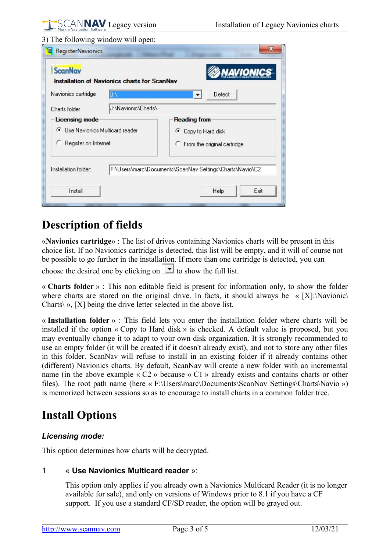#### 3) The following window will open:

| <b>ScanNav</b><br><b>Installation of Navionics charts for ScanNav</b> |                                                          |  |  |  |  |  |
|-----------------------------------------------------------------------|----------------------------------------------------------|--|--|--|--|--|
| Navionics cartridge                                                   | Detect<br>▼                                              |  |  |  |  |  |
| J:\Navionic\Charts\<br>Charts folder                                  |                                                          |  |  |  |  |  |
| Licensing mode                                                        | <b>Reading from</b>                                      |  |  |  |  |  |
| ● Use Navionics Multicard reader                                      | ● Copy to Hard disk                                      |  |  |  |  |  |
| C Register on Internet                                                | C From the original cartridge                            |  |  |  |  |  |
| Installation folder:                                                  | F:\Users\marc\Documents\ScanNav Settings\Charts\Navio\C2 |  |  |  |  |  |
| Install                                                               | Exit<br>Help                                             |  |  |  |  |  |

### <span id="page-2-3"></span>**Description of fields**

«**Navionics cartridge**» : The list of drives containing Navionics charts will be present in this choice list. If no Navionics cartridge is detected, this list will be empty, and it will of course not be possible to go further in the installation. If more than one cartridge is detected, you can choose the desired one by clicking on  $\bullet$  to show the full list.

« **Charts folder** » : This non editable field is present for information only, to show the folder where charts are stored on the original drive. In facts, it should always be  $\kappa$  [X]:\Navionic\ Charts $\setminus \mathcal{P}$ , [X] being the drive letter selected in the above list.

« **Installation folder** » : This field lets you enter the installation folder where charts will be installed if the option « Copy to Hard disk » is checked. A default value is proposed, but you may eventually change it to adapt to your own disk organization. It is strongly recommended to use an empty folder (it will be created if it doesn't already exist), and not to store any other files in this folder. ScanNav will refuse to install in an existing folder if it already contains other (different) Navionics charts. By default, ScanNav will create a new folder with an incremental name (in the above example « C2 » because « C1 » already exists and contains charts or other files). The root path name (here « F:\Users\marc\Documents\ScanNav Settings\Charts\Navio ») is memorized between sessions so as to encourage to install charts in a common folder tree.

# <span id="page-2-2"></span>**Install Options**

### <span id="page-2-1"></span>*Licensing mode:*

This option determines how charts will be decrypted.

### 1 « **Use Navionics Multicard reader** »:

<span id="page-2-0"></span>This option only applies if you already own a Navionics Multicard Reader (it is no longer available for sale), and only on versions of Windows prior to 8.1 if you have a CF support. If you use a standard CF/SD reader, the option will be grayed out.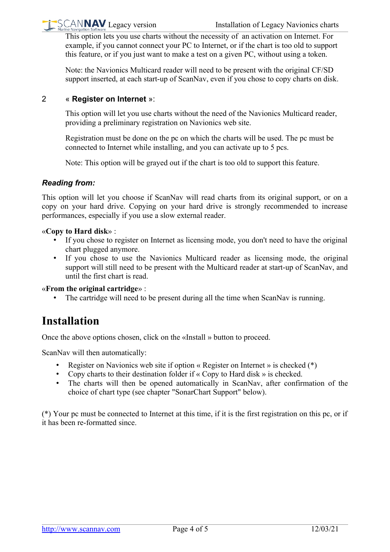

This option lets you use charts without the necessity of an activation on Internet. For example, if you cannot connect your PC to Internet, or if the chart is too old to support this feature, or if you just want to make a test on a given PC, without using a token.

Note: the Navionics Multicard reader will need to be present with the original CF/SD support inserted, at each start-up of ScanNav, even if you chose to copy charts on disk.

#### 2 « **Register on Internet** »:

<span id="page-3-2"></span>This option will let you use charts without the need of the Navionics Multicard reader, providing a preliminary registration on Navionics web site.

Registration must be done on the pc on which the charts will be used. The pc must be connected to Internet while installing, and you can activate up to 5 pcs.

Note: This option will be grayed out if the chart is too old to support this feature.

### <span id="page-3-1"></span>*Reading from:*

This option will let you choose if ScanNav will read charts from its original support, or on a copy on your hard drive. Copying on your hard drive is strongly recommended to increase performances, especially if you use a slow external reader.

#### «**Copy to Hard disk**» :

- If you chose to register on Internet as licensing mode, you don't need to have the original chart plugged anymore.
- If you chose to use the Navionics Multicard reader as licensing mode, the original support will still need to be present with the Multicard reader at start-up of ScanNav, and until the first chart is read.

«**From the original cartridge**» :

The cartridge will need to be present during all the time when ScanNav is running.

### <span id="page-3-0"></span>**Installation**

Once the above options chosen, click on the «Install » button to proceed.

ScanNav will then automatically:

- Register on Navionics web site if option « Register on Internet » is checked (\*)
- Copy charts to their destination folder if  $\kappa$  Copy to Hard disk  $\kappa$  is checked.
- The charts will then be opened automatically in ScanNav, after confirmation of the choice of chart type (see chapter "SonarChart Support" below).

(\*) Your pc must be connected to Internet at this time, if it is the first registration on this pc, or if it has been re-formatted since.